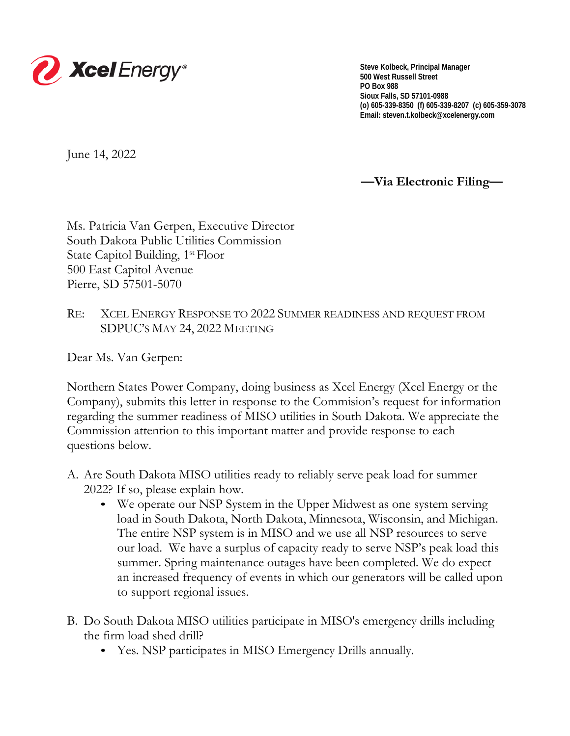

**Steve Kolbeck, Principal Manager 500 West Russell Street PO Box 988 Sioux Falls, SD 57101-0988 (o) 605-339-8350 (f) 605-339-8207 (c) 605-359-3078 Email: steven.t.kolbeck@xcelenergy.com**

June 14, 2022

**—Via Electronic Filing—**

Ms. Patricia Van Gerpen, Executive Director South Dakota Public Utilities Commission State Capitol Building, 1<sup>st</sup> Floor 500 East Capitol Avenue Pierre, SD 57501-5070

RE: XCEL ENERGY RESPONSE TO 2022 SUMMER READINESS AND REQUEST FROM SDPUC'S MAY 24, 2022 MEETING

Dear Ms. Van Gerpen:

Northern States Power Company, doing business as Xcel Energy (Xcel Energy or the Company), submits this letter in response to the Commision's request for information regarding the summer readiness of MISO utilities in South Dakota. We appreciate the Commission attention to this important matter and provide response to each questions below.

- A. Are South Dakota MISO utilities ready to reliably serve peak load for summer 2022? If so, please explain how.
	- We operate our NSP System in the Upper Midwest as one system serving load in South Dakota, North Dakota, Minnesota, Wisconsin, and Michigan. The entire NSP system is in MISO and we use all NSP resources to serve our load. We have a surplus of capacity ready to serve NSP's peak load this summer. Spring maintenance outages have been completed. We do expect an increased frequency of events in which our generators will be called upon to support regional issues.
- B. Do South Dakota MISO utilities participate in MISO's emergency drills including the firm load shed drill?
	- Yes. NSP participates in MISO Emergency Drills annually.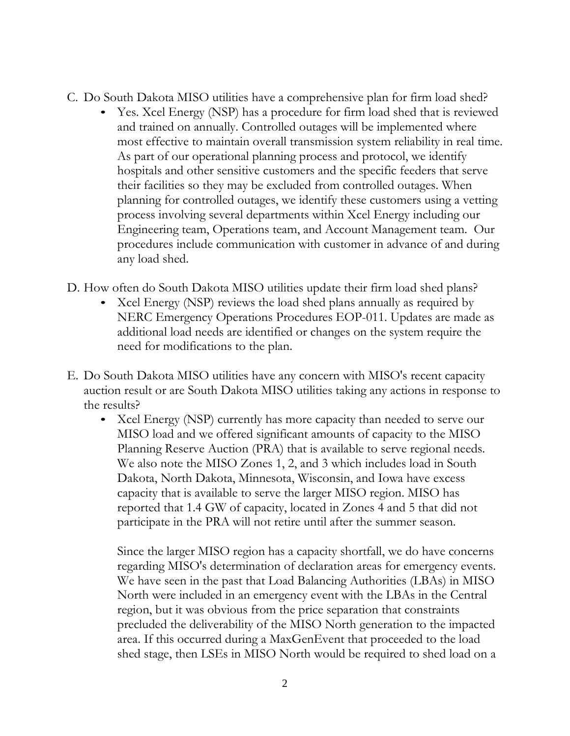- C. Do South Dakota MISO utilities have a comprehensive plan for firm load shed?
	- Yes. Xcel Energy (NSP) has a procedure for firm load shed that is reviewed and trained on annually. Controlled outages will be implemented where most effective to maintain overall transmission system reliability in real time. As part of our operational planning process and protocol, we identify hospitals and other sensitive customers and the specific feeders that serve their facilities so they may be excluded from controlled outages. When planning for controlled outages, we identify these customers using a vetting process involving several departments within Xcel Energy including our Engineering team, Operations team, and Account Management team. Our procedures include communication with customer in advance of and during any load shed.
- D. How often do South Dakota MISO utilities update their firm load shed plans?
	- Xcel Energy (NSP) reviews the load shed plans annually as required by NERC Emergency Operations Procedures EOP-011. Updates are made as additional load needs are identified or changes on the system require the need for modifications to the plan.
- E. Do South Dakota MISO utilities have any concern with MISO's recent capacity auction result or are South Dakota MISO utilities taking any actions in response to the results?
	- Xcel Energy (NSP) currently has more capacity than needed to serve our MISO load and we offered significant amounts of capacity to the MISO Planning Reserve Auction (PRA) that is available to serve regional needs. We also note the MISO Zones 1, 2, and 3 which includes load in South Dakota, North Dakota, Minnesota, Wisconsin, and Iowa have excess capacity that is available to serve the larger MISO region. MISO has reported that 1.4 GW of capacity, located in Zones 4 and 5 that did not participate in the PRA will not retire until after the summer season.

Since the larger MISO region has a capacity shortfall, we do have concerns regarding MISO's determination of declaration areas for emergency events. We have seen in the past that Load Balancing Authorities (LBAs) in MISO North were included in an emergency event with the LBAs in the Central region, but it was obvious from the price separation that constraints precluded the deliverability of the MISO North generation to the impacted area. If this occurred during a MaxGenEvent that proceeded to the load shed stage, then LSEs in MISO North would be required to shed load on a